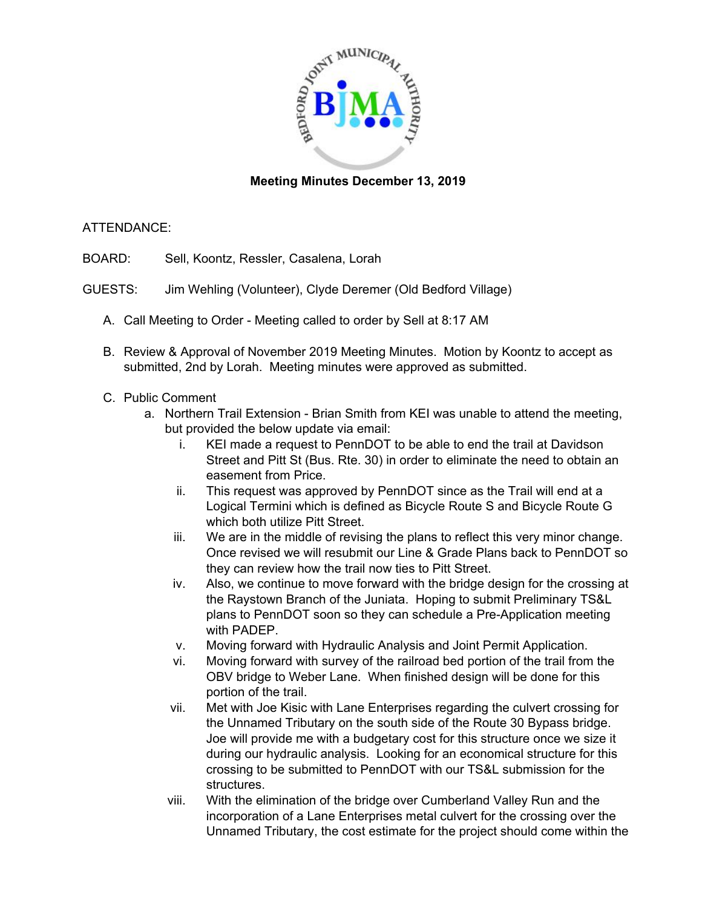

## **Meeting Minutes December 13, 2019**

## ATTENDANCE:

- BOARD: Sell, Koontz, Ressler, Casalena, Lorah
- GUESTS: Jim Wehling (Volunteer), Clyde Deremer (Old Bedford Village)
	- A. Call Meeting to Order Meeting called to order by Sell at 8:17 AM
	- B. Review & Approval of November 2019 Meeting Minutes. Motion by Koontz to accept as submitted, 2nd by Lorah. Meeting minutes were approved as submitted.
	- C. Public Comment
		- a. Northern Trail Extension Brian Smith from KEI was unable to attend the meeting, but provided the below update via email:
			- i. KEI made a request to PennDOT to be able to end the trail at Davidson Street and Pitt St (Bus. Rte. 30) in order to eliminate the need to obtain an easement from Price.
			- ii. This request was approved by PennDOT since as the Trail will end at a Logical Termini which is defined as Bicycle Route S and Bicycle Route G which both utilize Pitt Street.
			- iii. We are in the middle of revising the plans to reflect this very minor change. Once revised we will resubmit our Line & Grade Plans back to PennDOT so they can review how the trail now ties to Pitt Street.
			- iv. Also, we continue to move forward with the bridge design for the crossing at the Raystown Branch of the Juniata. Hoping to submit Preliminary TS&L plans to PennDOT soon so they can schedule a Pre-Application meeting with PADEP.
			- v. Moving forward with Hydraulic Analysis and Joint Permit Application.
			- vi. Moving forward with survey of the railroad bed portion of the trail from the OBV bridge to Weber Lane. When finished design will be done for this portion of the trail.
			- vii. Met with Joe Kisic with Lane Enterprises regarding the culvert crossing for the Unnamed Tributary on the south side of the Route 30 Bypass bridge. Joe will provide me with a budgetary cost for this structure once we size it during our hydraulic analysis. Looking for an economical structure for this crossing to be submitted to PennDOT with our TS&L submission for the structures.
			- viii. With the elimination of the bridge over Cumberland Valley Run and the incorporation of a Lane Enterprises metal culvert for the crossing over the Unnamed Tributary, the cost estimate for the project should come within the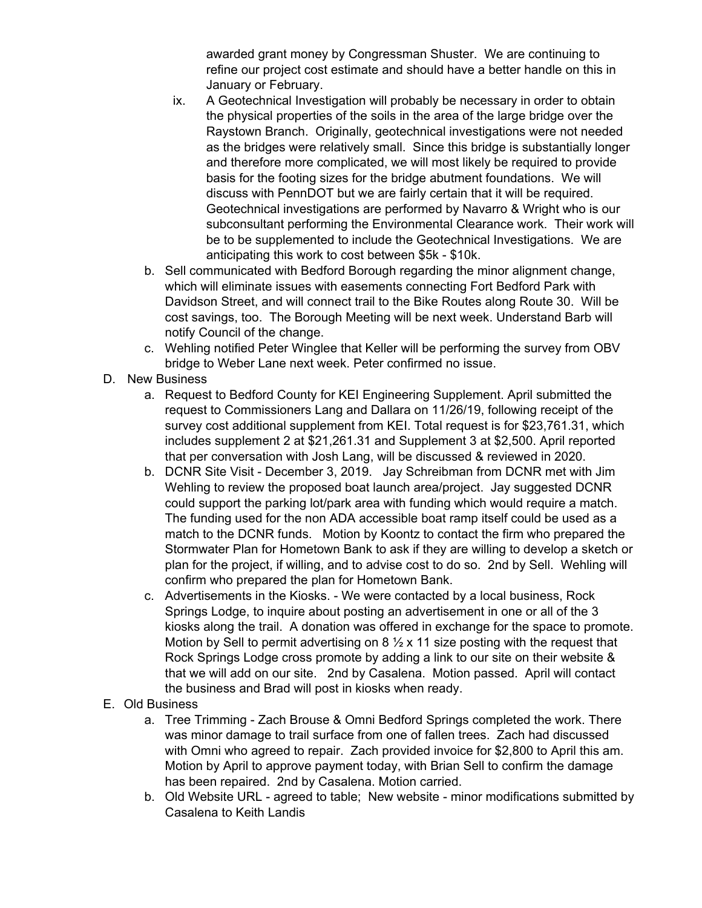awarded grant money by Congressman Shuster. We are continuing to refine our project cost estimate and should have a better handle on this in January or February.

- ix. A Geotechnical Investigation will probably be necessary in order to obtain the physical properties of the soils in the area of the large bridge over the Raystown Branch. Originally, geotechnical investigations were not needed as the bridges were relatively small. Since this bridge is substantially longer and therefore more complicated, we will most likely be required to provide basis for the footing sizes for the bridge abutment foundations. We will discuss with PennDOT but we are fairly certain that it will be required. Geotechnical investigations are performed by Navarro & Wright who is our subconsultant performing the Environmental Clearance work. Their work will be to be supplemented to include the Geotechnical Investigations. We are anticipating this work to cost between \$5k - \$10k.
- b. Sell communicated with Bedford Borough regarding the minor alignment change, which will eliminate issues with easements connecting Fort Bedford Park with Davidson Street, and will connect trail to the Bike Routes along Route 30. Will be cost savings, too. The Borough Meeting will be next week. Understand Barb will notify Council of the change.
- c. Wehling notified Peter Winglee that Keller will be performing the survey from OBV bridge to Weber Lane next week. Peter confirmed no issue.
- D. New Business
	- a. Request to Bedford County for KEI Engineering Supplement. April submitted the request to Commissioners Lang and Dallara on 11/26/19, following receipt of the survey cost additional supplement from KEI. Total request is for \$23,761.31, which includes supplement 2 at \$21,261.31 and Supplement 3 at \$2,500. April reported that per conversation with Josh Lang, will be discussed & reviewed in 2020.
	- b. DCNR Site Visit December 3, 2019. Jay Schreibman from DCNR met with Jim Wehling to review the proposed boat launch area/project. Jay suggested DCNR could support the parking lot/park area with funding which would require a match. The funding used for the non ADA accessible boat ramp itself could be used as a match to the DCNR funds. Motion by Koontz to contact the firm who prepared the Stormwater Plan for Hometown Bank to ask if they are willing to develop a sketch or plan for the project, if willing, and to advise cost to do so. 2nd by Sell. Wehling will confirm who prepared the plan for Hometown Bank.
	- c. Advertisements in the Kiosks. We were contacted by a local business, Rock Springs Lodge, to inquire about posting an advertisement in one or all of the 3 kiosks along the trail. A donation was offered in exchange for the space to promote. Motion by Sell to permit advertising on  $8\frac{1}{2} \times 11$  size posting with the request that Rock Springs Lodge cross promote by adding a link to our site on their website & that we will add on our site. 2nd by Casalena. Motion passed. April will contact the business and Brad will post in kiosks when ready.
- E. Old Business
	- a. Tree Trimming Zach Brouse & Omni Bedford Springs completed the work. There was minor damage to trail surface from one of fallen trees. Zach had discussed with Omni who agreed to repair. Zach provided invoice for \$2,800 to April this am. Motion by April to approve payment today, with Brian Sell to confirm the damage has been repaired. 2nd by Casalena. Motion carried.
	- b. Old Website URL agreed to table; New website minor modifications submitted by Casalena to Keith Landis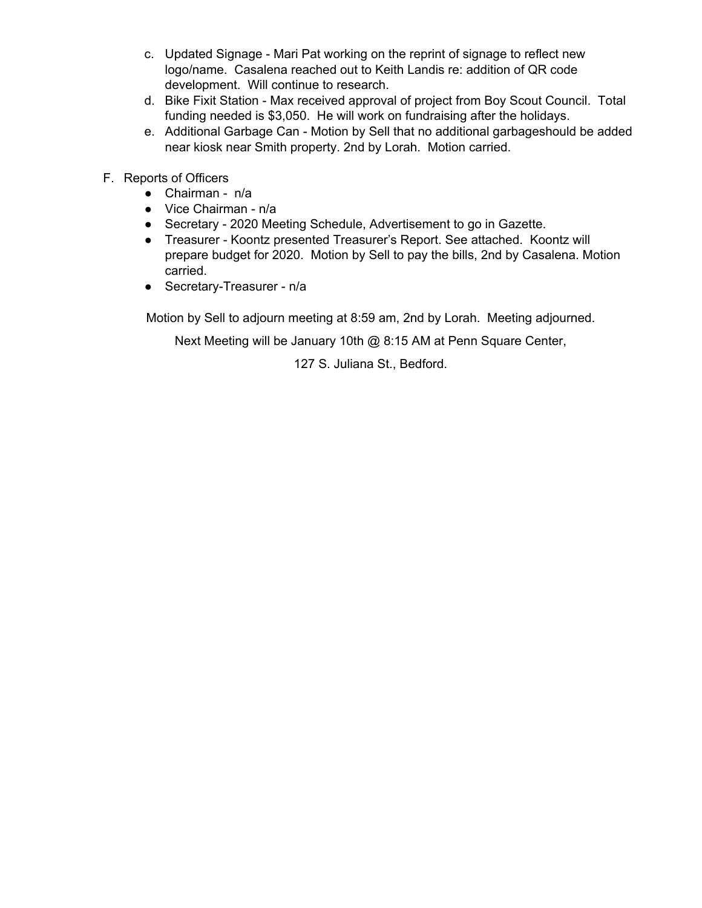- c. Updated Signage Mari Pat working on the reprint of signage to reflect new logo/name. Casalena reached out to Keith Landis re: addition of QR code development. Will continue to research.
- d. Bike Fixit Station Max received approval of project from Boy Scout Council. Total funding needed is \$3,050. He will work on fundraising after the holidays.
- e. Additional Garbage Can Motion by Sell that no additional garbageshould be added near kiosk near Smith property. 2nd by Lorah. Motion carried.
- F. Reports of Officers
	- Chairman n/a
	- Vice Chairman n/a
	- Secretary 2020 Meeting Schedule, Advertisement to go in Gazette.
	- Treasurer Koontz presented Treasurer's Report. See attached. Koontz will prepare budget for 2020. Motion by Sell to pay the bills, 2nd by Casalena. Motion carried.
	- Secretary-Treasurer n/a

Motion by Sell to adjourn meeting at 8:59 am, 2nd by Lorah. Meeting adjourned.

Next Meeting will be January 10th @ 8:15 AM at Penn Square Center,

127 S. Juliana St., Bedford.